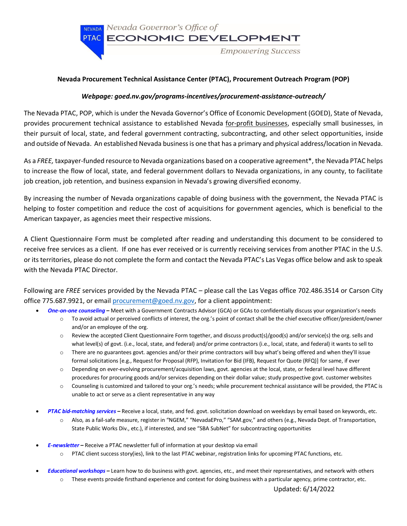

## **Nevada Procurement Technical Assistance Center (PTAC), Procurement Outreach Program (POP)**

## *Webpage: goed.nv.gov/programs-incentives/procurement-assistance-outreach/*

The Nevada PTAC, POP, which is under the Nevada Governor's Office of Economic Development (GOED), State of Nevada, provides procurement technical assistance to established Nevada for-profit businesses, especially small businesses, in their pursuit of local, state, and federal government contracting, subcontracting, and other select opportunities, inside and outside of Nevada. An established Nevada business is one that has a primary and physical address/location in Nevada.

As a *FREE,* taxpayer-funded resource to Nevada organizations based on a cooperative agreement\*, the Nevada PTAC helps to increase the flow of local, state, and federal government dollars to Nevada organizations, in any county, to facilitate job creation, job retention, and business expansion in Nevada's growing diversified economy.

By increasing the number of Nevada organizations capable of doing business with the government, the Nevada PTAC is helping to foster competition and reduce the cost of acquisitions for government agencies, which is beneficial to the American taxpayer, as agencies meet their respective missions.

A Client Questionnaire Form must be completed after reading and understanding this document to be considered to receive free services as a client. If one has ever received or is currently receiving services from another PTAC in the U.S. or its territories, please do not complete the form and contact the Nevada PTAC's Las Vegas office below and ask to speak with the Nevada PTAC Director.

Following are *FREE* services provided by the Nevada PTAC – please call the Las Vegas office 702.486.3514 or Carson City office 775.687.9921, or email [procurement@goed.nv.gov,](mailto:procurement@diversifynevada.com) for a client appointment:

- *One-on-one counseling* **–** Meet with a Government Contracts Advisor (GCA) or GCAs to confidentially discuss your organization's needs
	- o To avoid actual or perceived conflicts of interest, the org.'s point of contact shall be the chief executive officer/president/owner and/or an employee of the org.
	- o Review the accepted Client Questionnaire Form together, and discuss product(s)/good(s) and/or service(s) the org. sells and what level(s) of govt. (i.e., local, state, and federal) and/or prime contractors (i.e., local, state, and federal) it wants to sell to
	- o There are no guarantees govt. agencies and/or their prime contractors will buy what's being offered and when they'll issue formal solicitations [e.g., Request for Proposal (RFP), Invitation for Bid (IFB), Request for Quote (RFQ)] for same, if ever
	- o Depending on ever-evolving procurement/acquisition laws, govt. agencies at the local, state, or federal level have different procedures for procuring goods and/or services depending on their dollar value; study prospective govt. customer websites
	- o Counseling is customized and tailored to your org.'s needs; while procurement technical assistance will be provided, the PTAC is unable to act or serve as a client representative in any way
- *PTAC bid-matching services* **–** Receive a local, state, and fed. govt.solicitation download on weekdays by email based on keywords, etc.
	- o Also, as a fail-safe measure, register in "NGEM," "NevadaEPro," "SAM.gov," and others (e.g., Nevada Dept. of Transportation, State Public Works Div., etc.), if interested, and see "SBA SubNet" for subcontracting opportunities
- *E-newsletter* **–** Receive a PTAC newsletter full of information at your desktop via email
	- $\circ$  PTAC client success story(ies), link to the last PTAC webinar, registration links for upcoming PTAC functions, etc.
- *Educational workshops* **–** Learn how to do business with govt. agencies, etc., and meet their representatives, and network with others
	- o These events provide firsthand experience and context for doing business with a particular agency, prime contractor, etc.

Updated: 6/14/2022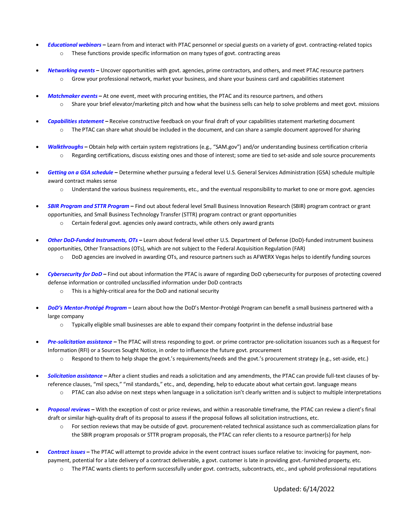- *Educational webinars* **–** Learn from and interact with PTAC personnel or special guests on a variety of govt. contracting-related topics o These functions provide specific information on many types of govt. contracting areas
- *Networking events* **–** Uncover opportunities with govt. agencies, prime contractors, and others, and meet PTAC resource partners
	- $\circ$  Grow your professional network, market your business, and share your business card and capabilities statement
- *Matchmaker events* **–** At one event, meet with procuring entities, the PTAC and its resource partners, and others
	- o Share your brief elevator/marketing pitch and how what the business sells can help to solve problems and meet govt. missions
- *Capabilities statement* **–** Receive constructive feedback on your final draft of your capabilities statement marketing document  $\circ$  The PTAC can share what should be included in the document, and can share a sample document approved for sharing
- *Walkthroughs* **–** Obtain help with certain system registrations (e.g., "SAM.gov") and/or understanding business certification criteria o Regarding certifications, discuss existing ones and those of interest; some are tied to set-aside and sole source procurements
- *Getting on a GSA schedule* **–** Determine whether pursuing a federal level U.S. General Services Administration (GSA) schedule multiple award contract makes sense
	- $\circ$  Understand the various business requirements, etc., and the eventual responsibility to market to one or more govt. agencies
- *SBIR Program and STTR Program* **–** Find out about federal level Small Business Innovation Research (SBIR) program contract or grant opportunities, and Small Business Technology Transfer (STTR) program contract or grant opportunities
	- o Certain federal govt. agencies only award contracts, while others only award grants
- *Other DoD-Funded Instruments, OTs* **–** Learn about federal level other U.S. Department of Defense (DoD)-funded instrument business opportunities, Other Transactions (OTs), which are not subject to the Federal Acquisition Regulation (FAR)
	- o DoD agencies are involved in awarding OTs, and resource partners such as AFWERX Vegas helps to identify funding sources
- *Cybersecurity for DoD* **–** Find out about information the PTAC is aware of regarding DoD cybersecurity for purposes of protecting covered defense information or controlled unclassified information under DoD contracts
	- o This is a highly-critical area for the DoD and national security
- *DoD's Mentor-Protégé Program* **–** Learn about how the DoD's Mentor-Protégé Program can benefit a small business partnered with a large company
	- o Typically eligible small businesses are able to expand their company footprint in the defense industrial base
- *Pre-solicitation assistance* **–** The PTAC will stress responding to govt. or prime contractor pre-solicitation issuances such as a Request for Information (RFI) or a Sources Sought Notice, in order to influence the future govt. procurement
	- o Respond to them to help shape the govt.'s requirements/needs and the govt.'s procurement strategy (e.g., set-aside, etc.)
- *Solicitation assistance* **–** After a client studies and reads a solicitation and any amendments, the PTAC can provide full-text clauses of byreference clauses, "mil specs," "mil standards," etc., and, depending, help to educate about what certain govt. language means
	- $\circ$  PTAC can also advise on next steps when language in a solicitation isn't clearly written and is subject to multiple interpretations
- *Proposal reviews* **–** With the exception of cost or price reviews, and within a reasonable timeframe, the PTAC can review a client's final draft or similar high-quality draft of its proposal to assess if the proposal follows all solicitation instructions, etc.
	- o For section reviews that may be outside of govt. procurement-related technical assistance such as commercialization plans for the SBIR program proposals or STTR program proposals, the PTAC can refer clients to a resource partner(s) for help
- *Contract issues* **–** The PTAC will attempt to provide advice in the event contract issues surface relative to: invoicing for payment, nonpayment, potential for a late delivery of a contract deliverable, a govt. customer is late in providing govt.-furnished property, etc.
	- o The PTAC wants clients to perform successfully under govt. contracts, subcontracts, etc., and uphold professional reputations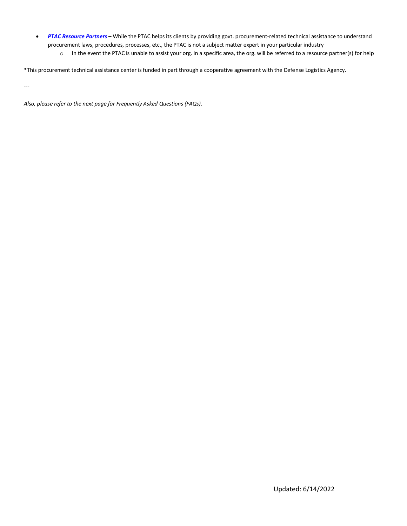- *PTAC Resource Partners* **–** While the PTAC helps its clients by providing govt. procurement-related technical assistance to understand procurement laws, procedures, processes, etc., the PTAC is not a subject matter expert in your particular industry
	- o In the event the PTAC is unable to assist your org. in a specific area, the org. will be referred to a resource partner(s) for help

\*This procurement technical assistance center is funded in part through a cooperative agreement with the Defense Logistics Agency.

---

*Also, please refer to the next page for Frequently Asked Questions (FAQs).*